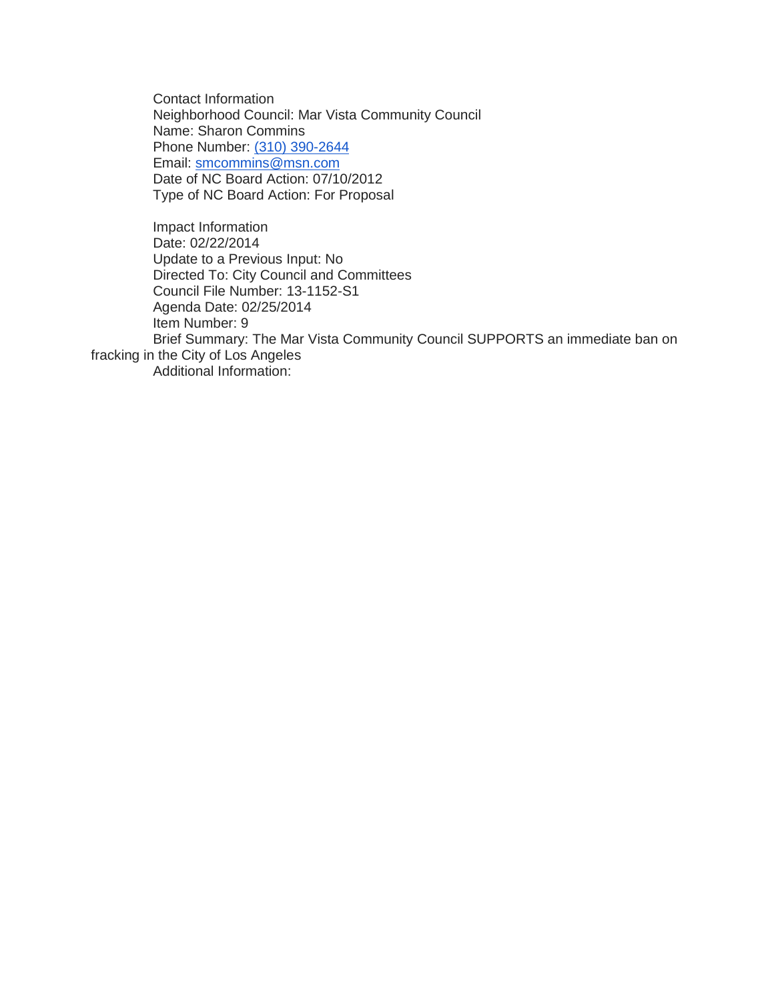Contact Information Neighborhood Council: Mar Vista Community Council Name: Sharon Commins Phone Number: [\(310\) 390-2644](tel:%28310%29%20390-2644) Email: [smcommins@msn.com](mailto:smcommins@msn.com) Date of NC Board Action: 07/10/2012 Type of NC Board Action: For Proposal

Impact Information Date: 02/22/2014 Update to a Previous Input: No Directed To: City Council and Committees Council File Number: 13-1152-S1 Agenda Date: 02/25/2014 Item Number: 9 Brief Summary: The Mar Vista Community Council SUPPORTS an immediate ban on fracking in the City of Los Angeles Additional Information: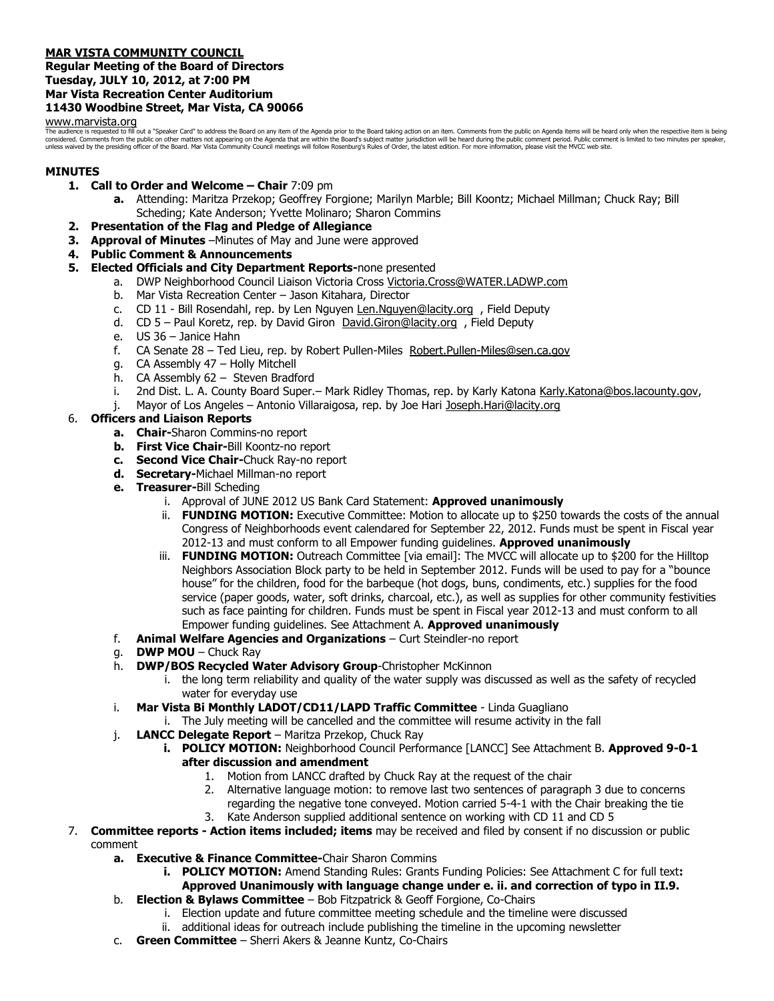# **MAR VISTA COMMUNITY COUNCIL**

## **Regular Meeting of the Board of Directors Tuesday, JULY 10, 2012, at 7:00 PM Mar Vista Recreation Center Auditorium 11430 Woodbine Street, Mar Vista, CA 90066**

# [www.marvista.org](http://www.marvista.org/)

The audience is requested to fill out a "Speaker Card" to address the Board on any item of the Agenda prior to the Board taking action on an item. Comments from the public on Agenda items will be heard only when the respec considered. Comments from the public on other matters not appearing on the Agenda that are within the Board's subject matter jurisdiction will be heard during the public comment period. Public comment is limited to two min unless waived by the presiding officer of the Board. Mar Vista Community Council meetings will follow Rosenburg's Rules of Order, the latest edition. For more information, please visit the MVCC web site.

# **MINUTES**

- **1. Call to Order and Welcome – Chair** 7:09 pm
	- **a.** Attending: Maritza Przekop; Geoffrey Forgione; Marilyn Marble; Bill Koontz; Michael Millman; Chuck Ray; Bill Scheding; Kate Anderson; Yvette Molinaro; Sharon Commins
- **2. Presentation of the Flag and Pledge of Allegiance**
- **3. Approval of Minutes** –Minutes of May and June were approved
- **4. Public Comment & Announcements**
- **5. Elected Officials and City Department Reports-**none presented
	- a. DWP Neighborhood Council Liaison Victoria Cross [Victoria.Cross@WATER.LADWP.com](mailto:Victoria.Cross@WATER.LADWP.com)
	- b. Mar Vista Recreation Center Jason Kitahara, Director
	- c. CD 11 Bill Rosendahl, rep. by Len Nguyen Len. Nguyen@lacity.org, Field Deputy
	- d. CD 5 Paul Koretz, rep. by David Giron David.Giron@lacity.org, Field Deputy
	- e. US 36 Janice Hahn
	- f. CA Senate 28 Ted Lieu, rep. by Robert Pullen-Miles Robert. Pullen-Miles@sen.ca.gov
	- g. CA Assembly 47 Holly Mitchell
	- h. CA Assembly 62 Steven Bradford
	- i. 2nd Dist. L. A. County Board Super. Mark Ridley Thomas, rep. by Karly Katona [Karly.Katona@bos.lacounty.gov,](mailto:Karly.Katona@bos.lacounty.gov)
	- j. Mayor of Los Angeles Antonio Villaraigosa, rep. by Joe Hari [Joseph.Hari@lacity.org](mailto:Joseph.Hari@lacity.org)

# 6. **Officers and Liaison Reports**

- **a. Chair-**Sharon Commins-no report
- **b. First Vice Chair-**Bill Koontz-no report
- **c. Second Vice Chair-**Chuck Ray-no report
- **d. Secretary-**Michael Millman-no report
- **e. Treasurer-**Bill Scheding
	- i. Approval of JUNE 2012 US Bank Card Statement: **Approved unanimously**
	- ii. **FUNDING MOTION:** Executive Committee: Motion to allocate up to \$250 towards the costs of the annual Congress of Neighborhoods event calendared for September 22, 2012. Funds must be spent in Fiscal year 2012-13 and must conform to all Empower funding guidelines. **Approved unanimously**
	- iii. **FUNDING MOTION:** Outreach Committee [via email]: The MVCC will allocate up to \$200 for the Hilltop Neighbors Association Block party to be held in September 2012. Funds will be used to pay for a "bounce house" for the children, food for the barbeque (hot dogs, buns, condiments, etc.) supplies for the food service (paper goods, water, soft drinks, charcoal, etc.), as well as supplies for other community festivities such as face painting for children. Funds must be spent in Fiscal year 2012-13 and must conform to all Empower funding guidelines. See Attachment A. **Approved unanimously**
- f. **Animal Welfare Agencies and Organizations** Curt Steindler-no report
- g. **DWP MOU** Chuck Ray
- h. **DWP/BOS Recycled Water Advisory Group**-Christopher McKinnon
	- i. the long term reliability and quality of the water supply was discussed as well as the safety of recycled water for everyday use
- i. **Mar Vista Bi Monthly LADOT/CD11/LAPD Traffic Committee** Linda Guagliano
	- i. The July meeting will be cancelled and the committee will resume activity in the fall
- j. **LANCC Delegate Report** Maritza Przekop, Chuck Ray
	- **i. POLICY MOTION:** Neighborhood Council Performance [LANCC] See Attachment B. **Approved 9-0-1 after discussion and amendment**
		- 1. Motion from LANCC drafted by Chuck Ray at the request of the chair
		- 2. Alternative language motion: to remove last two sentences of paragraph 3 due to concerns regarding the negative tone conveyed. Motion carried 5-4-1 with the Chair breaking the tie
		- 3. Kate Anderson supplied additional sentence on working with CD 11 and CD 5
- 7. **Committee reports - Action items included; items** may be received and filed by consent if no discussion or public comment
	- **a. Executive & Finance Committee-**Chair Sharon Commins
		- **i. POLICY MOTION:** Amend Standing Rules: Grants Funding Policies: See Attachment C for full text**: Approved Unanimously with language change under e. ii. and correction of typo in II.9.**
	- b. **Election & Bylaws Committee** Bob Fitzpatrick & Geoff Forgione, Co-Chairs
		- i. Election update and future committee meeting schedule and the timeline were discussed
		- ii. additional ideas for outreach include publishing the timeline in the upcoming newsletter
	- c. **Green Committee** Sherri Akers & Jeanne Kuntz, Co-Chairs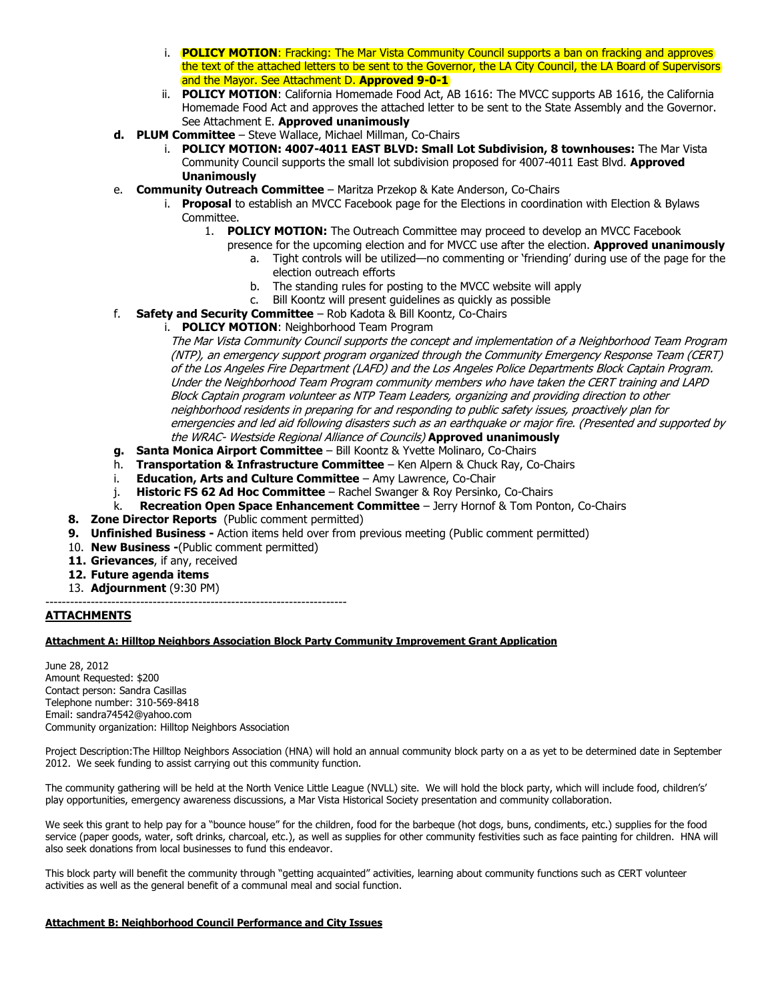- i. **POLICY MOTION**: Fracking: The Mar Vista Community Council supports a ban on fracking and approves the text of the attached letters to be sent to the Governor, the LA City Council, the LA Board of Supervisors and the Mayor. See Attachment D. **Approved 9-0-1**
- ii. **POLICY MOTION**: California Homemade Food Act, AB 1616: The MVCC supports AB 1616, the California Homemade Food Act and approves the attached letter to be sent to the State Assembly and the Governor. See Attachment E. **Approved unanimously**
- **d. PLUM Committee** Steve Wallace, Michael Millman, Co-Chairs
	- i. **POLICY MOTION: 4007-4011 EAST BLVD: Small Lot Subdivision, 8 townhouses:** The Mar Vista Community Council supports the small lot subdivision proposed for 4007-4011 East Blvd. **Approved Unanimously**
- e. **Community Outreach Committee** Maritza Przekop & Kate Anderson, Co-Chairs
	- i. **Proposal** to establish an MVCC Facebook page for the Elections in coordination with Election & Bylaws Committee.
		- 1. **POLICY MOTION:** The Outreach Committee may proceed to develop an MVCC Facebook
			- presence for the upcoming election and for MVCC use after the election. **Approved unanimously**
				- a. Tight controls will be utilized—no commenting or 'friending' during use of the page for the election outreach efforts
				- b. The standing rules for posting to the MVCC website will apply
				- c. Bill Koontz will present guidelines as quickly as possible
- f. **Safety and Security Committee** Rob Kadota & Bill Koontz, Co-Chairs
	- i. **POLICY MOTION**: Neighborhood Team Program

The Mar Vista Community Council supports the concept and implementation of a Neighborhood Team Program (NTP), an emergency support program organized through the Community Emergency Response Team (CERT) of the Los Angeles Fire Department (LAFD) and the Los Angeles Police Departments Block Captain Program. Under the Neighborhood Team Program community members who have taken the CERT training and LAPD Block Captain program volunteer as NTP Team Leaders, organizing and providing direction to other neighborhood residents in preparing for and responding to public safety issues, proactively plan for emergencies and led aid following disasters such as an earthquake or major fire. (Presented and supported by the WRAC- Westside Regional Alliance of Councils) **Approved unanimously**

- **g. Santa Monica Airport Committee** Bill Koontz & Yvette Molinaro, Co-Chairs
- h. **Transportation & Infrastructure Committee** Ken Alpern & Chuck Ray, Co-Chairs
- i. **Education, Arts and Culture Committee** Amy Lawrence, Co-Chair
- j. **Historic FS 62 Ad Hoc Committee** Rachel Swanger & Roy Persinko, Co-Chairs
- k. **Recreation Open Space Enhancement Committee** Jerry Hornof & Tom Ponton, Co-Chairs
- **8. Zone Director Reports** (Public comment permitted)
- **9. Unfinished Business -** Action items held over from previous meeting (Public comment permitted)
- 10. **New Business -**(Public comment permitted)
- **11. Grievances**, if any, received
- **12. Future agenda items**
- 13. **Adjournment** (9:30 PM)

-------------------------------------------------------------------------

# **ATTACHMENTS**

# **Attachment A: Hilltop Neighbors Association Block Party Community Improvement Grant Application**

June 28, 2012 Amount Requested: \$200 Contact person: Sandra Casillas Telephone number: 310-569-8418 Email: sandra74542@yahoo.com Community organization: Hilltop Neighbors Association

Project Description:The Hilltop Neighbors Association (HNA) will hold an annual community block party on a as yet to be determined date in September 2012. We seek funding to assist carrying out this community function.

The community gathering will be held at the North Venice Little League (NVLL) site. We will hold the block party, which will include food, children's' play opportunities, emergency awareness discussions, a Mar Vista Historical Society presentation and community collaboration.

We seek this grant to help pay for a "bounce house" for the children, food for the barbeque (hot dogs, buns, condiments, etc.) supplies for the food service (paper goods, water, soft drinks, charcoal, etc.), as well as supplies for other community festivities such as face painting for children. HNA will also seek donations from local businesses to fund this endeavor.

This block party will benefit the community through "getting acquainted" activities, learning about community functions such as CERT volunteer activities as well as the general benefit of a communal meal and social function.

# **Attachment B: Neighborhood Council Performance and City Issues**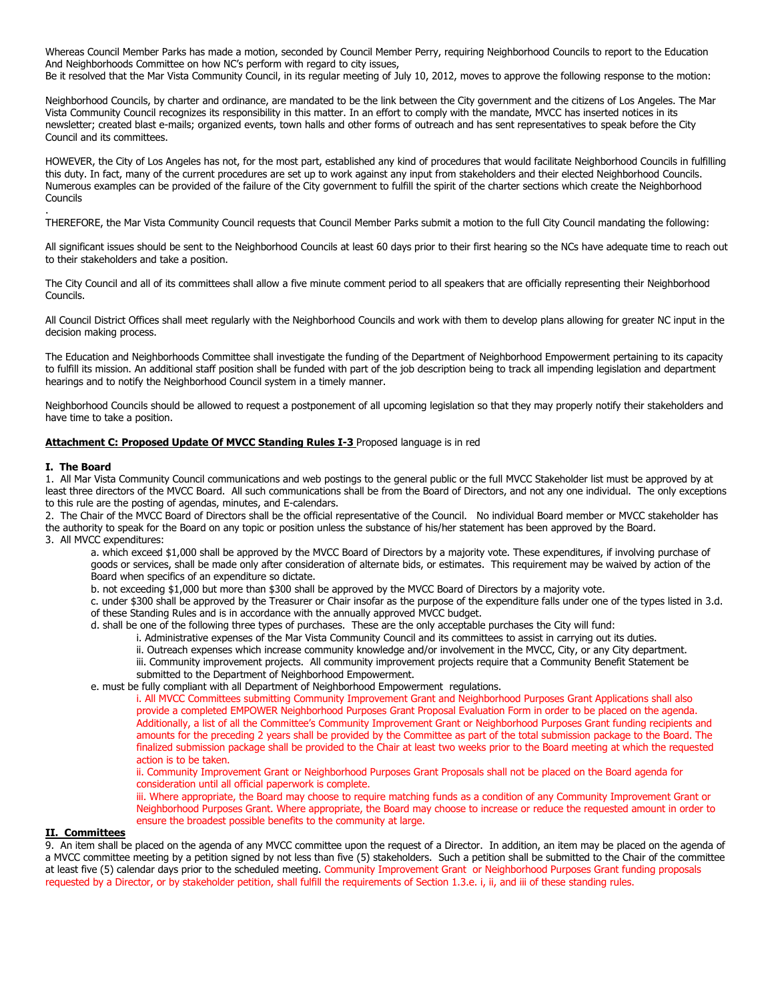Whereas Council Member Parks has made a motion, seconded by Council Member Perry, requiring Neighborhood Councils to report to the Education And Neighborhoods Committee on how NC's perform with regard to city issues, Be it resolved that the Mar Vista Community Council, in its regular meeting of July 10, 2012, moves to approve the following response to the motion:

Neighborhood Councils, by charter and ordinance, are mandated to be the link between the City government and the citizens of Los Angeles. The Mar Vista Community Council recognizes its responsibility in this matter. In an effort to comply with the mandate, MVCC has inserted notices in its newsletter; created blast e-mails; organized events, town halls and other forms of outreach and has sent representatives to speak before the City Council and its committees.

HOWEVER, the City of Los Angeles has not, for the most part, established any kind of procedures that would facilitate Neighborhood Councils in fulfilling this duty. In fact, many of the current procedures are set up to work against any input from stakeholders and their elected Neighborhood Councils. Numerous examples can be provided of the failure of the City government to fulfill the spirit of the charter sections which create the Neighborhood Councils

THEREFORE, the Mar Vista Community Council requests that Council Member Parks submit a motion to the full City Council mandating the following:

All significant issues should be sent to the Neighborhood Councils at least 60 days prior to their first hearing so the NCs have adequate time to reach out to their stakeholders and take a position.

The City Council and all of its committees shall allow a five minute comment period to all speakers that are officially representing their Neighborhood Councils.

All Council District Offices shall meet regularly with the Neighborhood Councils and work with them to develop plans allowing for greater NC input in the decision making process.

The Education and Neighborhoods Committee shall investigate the funding of the Department of Neighborhood Empowerment pertaining to its capacity to fulfill its mission. An additional staff position shall be funded with part of the job description being to track all impending legislation and department hearings and to notify the Neighborhood Council system in a timely manner.

Neighborhood Councils should be allowed to request a postponement of all upcoming legislation so that they may properly notify their stakeholders and have time to take a position.

### **Attachment C: Proposed Update Of MVCC Standing Rules I-3** Proposed language is in red

#### **I. The Board**

.

1. All Mar Vista Community Council communications and web postings to the general public or the full MVCC Stakeholder list must be approved by at least three directors of the MVCC Board. All such communications shall be from the Board of Directors, and not any one individual. The only exceptions to this rule are the posting of agendas, minutes, and E-calendars.

2. The Chair of the MVCC Board of Directors shall be the official representative of the Council. No individual Board member or MVCC stakeholder has the authority to speak for the Board on any topic or position unless the substance of his/her statement has been approved by the Board. 3. All MVCC expenditures:

a. which exceed \$1,000 shall be approved by the MVCC Board of Directors by a majority vote. These expenditures, if involving purchase of goods or services, shall be made only after consideration of alternate bids, or estimates. This requirement may be waived by action of the Board when specifics of an expenditure so dictate.

b. not exceeding \$1,000 but more than \$300 shall be approved by the MVCC Board of Directors by a majority vote.

c. under \$300 shall be approved by the Treasurer or Chair insofar as the purpose of the expenditure falls under one of the types listed in 3.d. of these Standing Rules and is in accordance with the annually approved MVCC budget.

d. shall be one of the following three types of purchases. These are the only acceptable purchases the City will fund:

i. Administrative expenses of the Mar Vista Community Council and its committees to assist in carrying out its duties.

ii. Outreach expenses which increase community knowledge and/or involvement in the MVCC, City, or any City department.

iii. Community improvement projects. All community improvement projects require that a Community Benefit Statement be submitted to the Department of Neighborhood Empowerment.

e. must be fully compliant with all Department of Neighborhood Empowerment regulations.

i. All MVCC Committees submitting Community Improvement Grant and Neighborhood Purposes Grant Applications shall also provide a completed EMPOWER Neighborhood Purposes Grant Proposal Evaluation Form in order to be placed on the agenda. Additionally, a list of all the Committee's Community Improvement Grant or Neighborhood Purposes Grant funding recipients and amounts for the preceding 2 years shall be provided by the Committee as part of the total submission package to the Board. The finalized submission package shall be provided to the Chair at least two weeks prior to the Board meeting at which the requested action is to be taken.

ii. Community Improvement Grant or Neighborhood Purposes Grant Proposals shall not be placed on the Board agenda for consideration until all official paperwork is complete.

iii. Where appropriate, the Board may choose to require matching funds as a condition of any Community Improvement Grant or Neighborhood Purposes Grant. Where appropriate, the Board may choose to increase or reduce the requested amount in order to ensure the broadest possible benefits to the community at large.

### **II. Committees**

9. An item shall be placed on the agenda of any MVCC committee upon the request of a Director. In addition, an item may be placed on the agenda of a MVCC committee meeting by a petition signed by not less than five (5) stakeholders. Such a petition shall be submitted to the Chair of the committee at least five (5) calendar days prior to the scheduled meeting. Community Improvement Grant or Neighborhood Purposes Grant funding proposals requested by a Director, or by stakeholder petition, shall fulfill the requirements of Section 1.3.e. i, ii, and iii of these standing rules.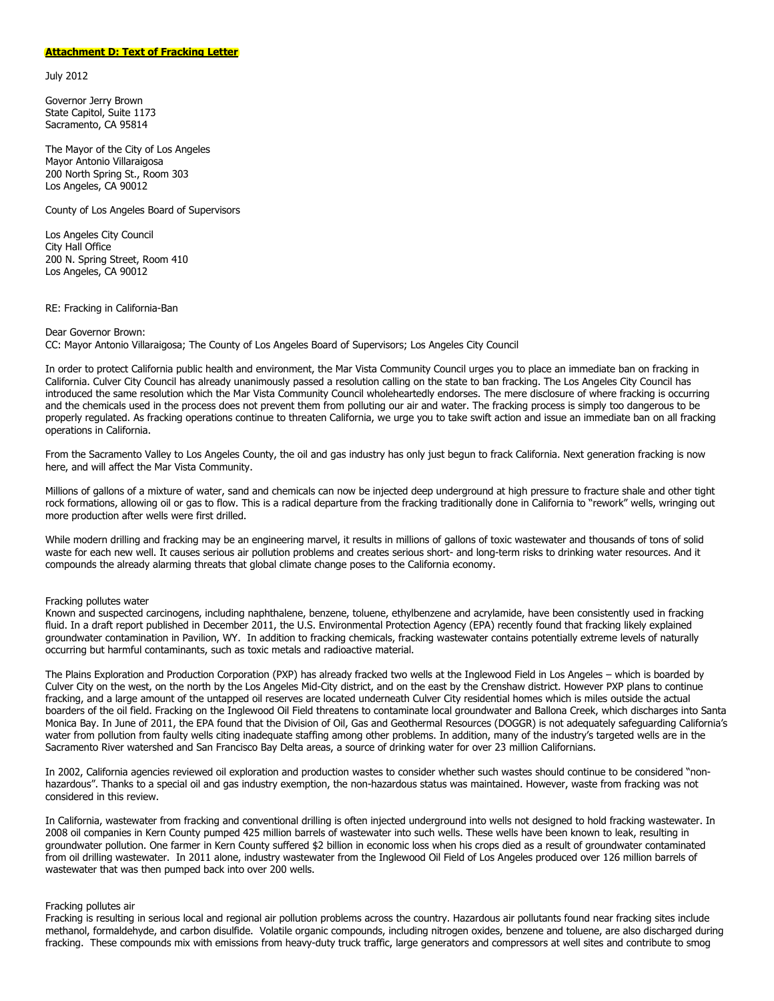#### **Attachment D: Text of Fracking Letter**

July 2012

Governor Jerry Brown State Capitol, Suite 1173 Sacramento, CA 95814

The Mayor of the City of Los Angeles Mayor Antonio Villaraigosa 200 North Spring St., Room 303 Los Angeles, CA 90012

County of Los Angeles Board of Supervisors

Los Angeles City Council City Hall Office 200 N. Spring Street, Room 410 Los Angeles, CA 90012

RE: Fracking in California-Ban

#### Dear Governor Brown:

CC: Mayor Antonio Villaraigosa; The County of Los Angeles Board of Supervisors; Los Angeles City Council

In order to protect California public health and environment, the Mar Vista Community Council urges you to place an immediate ban on fracking in California. Culver City Council has already unanimously passed a resolution calling on the state to ban fracking. The Los Angeles City Council has introduced the same resolution which the Mar Vista Community Council wholeheartedly endorses. The mere disclosure of where fracking is occurring and the chemicals used in the process does not prevent them from polluting our air and water. The fracking process is simply too dangerous to be properly regulated. As fracking operations continue to threaten California, we urge you to take swift action and issue an immediate ban on all fracking operations in California.

From the Sacramento Valley to Los Angeles County, the oil and gas industry has only just begun to frack California. Next generation fracking is now here, and will affect the Mar Vista Community.

Millions of gallons of a mixture of water, sand and chemicals can now be injected deep underground at high pressure to fracture shale and other tight rock formations, allowing oil or gas to flow. This is a radical departure from the fracking traditionally done in California to "rework" wells, wringing out more production after wells were first drilled.

While modern drilling and fracking may be an engineering marvel, it results in millions of gallons of toxic wastewater and thousands of tons of solid waste for each new well. It causes serious air pollution problems and creates serious short- and long-term risks to drinking water resources. And it compounds the already alarming threats that global climate change poses to the California economy.

#### Fracking pollutes water

Known and suspected carcinogens, including naphthalene, benzene, toluene, ethylbenzene and acrylamide, have been consistently used in fracking fluid. In a draft report published in December 2011, the U.S. Environmental Protection Agency (EPA) recently found that fracking likely explained groundwater contamination in Pavilion, WY. In addition to fracking chemicals, fracking wastewater contains potentially extreme levels of naturally occurring but harmful contaminants, such as toxic metals and radioactive material.

The Plains Exploration and Production Corporation (PXP) has already fracked two wells at the Inglewood Field in Los Angeles – which is boarded by Culver City on the west, on the north by the Los Angeles Mid-City district, and on the east by the Crenshaw district. However PXP plans to continue fracking, and a large amount of the untapped oil reserves are located underneath Culver City residential homes which is miles outside the actual boarders of the oil field. Fracking on the Inglewood Oil Field threatens to contaminate local groundwater and Ballona Creek, which discharges into Santa Monica Bay. In June of 2011, the EPA found that the Division of Oil, Gas and Geothermal Resources (DOGGR) is not adequately safeguarding California's water from pollution from faulty wells citing inadequate staffing among other problems. In addition, many of the industry's targeted wells are in the Sacramento River watershed and San Francisco Bay Delta areas, a source of drinking water for over 23 million Californians.

In 2002, California agencies reviewed oil exploration and production wastes to consider whether such wastes should continue to be considered "nonhazardous". Thanks to a special oil and gas industry exemption, the non-hazardous status was maintained. However, waste from fracking was not considered in this review.

In California, wastewater from fracking and conventional drilling is often injected underground into wells not designed to hold fracking wastewater. In 2008 oil companies in Kern County pumped 425 million barrels of wastewater into such wells. These wells have been known to leak, resulting in groundwater pollution. One farmer in Kern County suffered \$2 billion in economic loss when his crops died as a result of groundwater contaminated from oil drilling wastewater. In 2011 alone, industry wastewater from the Inglewood Oil Field of Los Angeles produced over 126 million barrels of wastewater that was then pumped back into over 200 wells.

#### Fracking pollutes air

Fracking is resulting in serious local and regional air pollution problems across the country. Hazardous air pollutants found near fracking sites include methanol, formaldehyde, and carbon disulfide. Volatile organic compounds, including nitrogen oxides, benzene and toluene, are also discharged during fracking. These compounds mix with emissions from heavy-duty truck traffic, large generators and compressors at well sites and contribute to smog